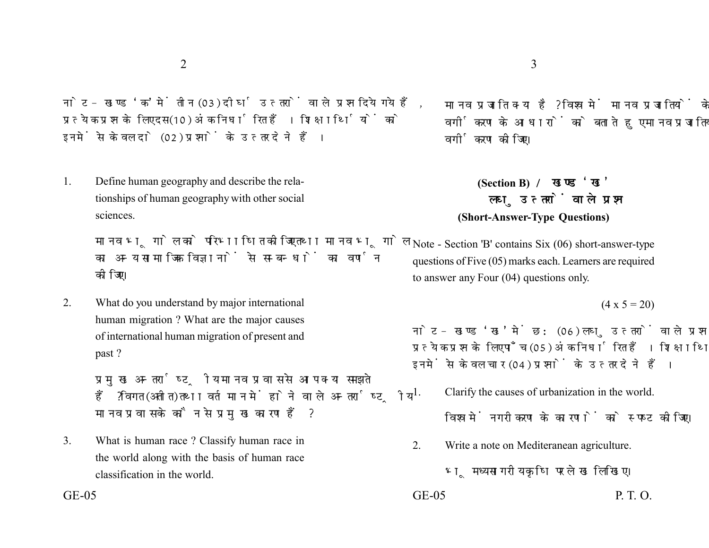नोट- खण्ड 'क' में तीन (03) दीर्घ उत्तरों वाले प्रश्न दिये गये हैं. प्रत्येक प्रश्न के लिए दस (10) अंक निर्धारित हैं। शिक्षार्थियों को इनमें से केवल दो (02) प्रश्नों के उत्तर देने हैं।

1. Define human geography and describe the relationships of human geography with other social sciences.

> मानव भूगोल को परिभाषित कीजिए तथा मानव भूगोल का अन्य सामाजिक विज्ञानों से सम्बन्धों का वर्णन कोजिए।

2. What do you understand by major international human migration ? What are the major causes of international human migration of present and past ?

> प्रमुख अन्तर्राष्ट्रीय मानव प्रवास से आप क्या समझते हैं ? विगत (अतीत) तथा वर्तमान में होने वाले अन्तर्राष्टीय मानव प्रवास के कौन से प्रमुख कारण हैं?

3. What is human race ? Classify human race in the world along with the basis of human race classification in the world.

मानव प्रजाति क्या है? विश्व में मानव प्रजातियों के वर्गीकरण के आधारों को बताते हुए मानव प्रजातियों का वर्गीकरण कीजिए।

## **(Section B)**  लघु उत्तरों वाले प्रश्न **(Short-Answer-Type Questions)**

Note - Section 'B' contains Six (06) short-answer-type questions of Five (05) marks each. Learners are required to answer any Four (04) questions only.

## $(4 \times 5 = 20)$

नोट- खण्ड 'ख' में छ: (06) लघु उत्तरों वाले प्रश्न दिये गये हैं, प्रत्येक प्रश्न के लिए पाँच (05) अंक निर्धारित हैं। शिक्षार्थियों को इनमें से केवल चार (04) प्रश्नों के उत्तर देने हैं।

1. Clarify the causes of urbanization in the world.

विश्व में नगरीकरण के कारणों को स्पष्ट कीजिए।

2. Write a note on Mediteranean agriculture.

भमध्य सागरीय कृषि पर लेख लिखिए।

 $GE-05$  P. T. O.